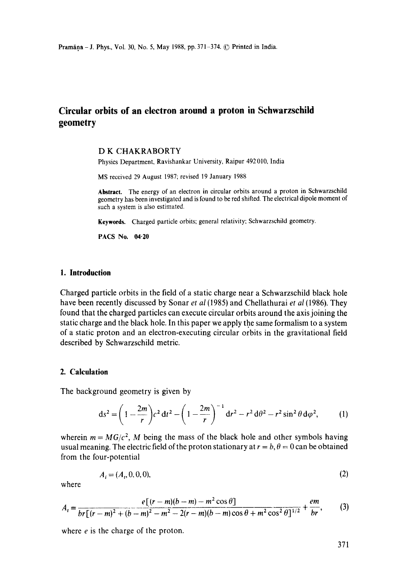# **Circular orbits of an electron around a proton in Schwarzschiid geometry**

## D K CHAKRABORTY

Physics Department, Ravishankar University, Raipur 492 010, India

MS received 29 August 1987; revised 19 January 1988

**Abstraet.** The energy of an electron in circular orbits around a proton in Schwarzschild geometry has been investigated and is found to be red shifted. The electrical dipole moment of such a system is also estimated.

Keywords. Charged particle orbits; general relativity; Schwarzschild geometry.

**PACS No. 04.20** 

## **1. Introduction**

Charged particle orbits in the field of a static charge near a Schwarzschild black hole have been recently discussed by Sonar *et al* (1985) and Chellathurai *et al* (1986). They found that the charged particles can execute circular orbits around the axis joining the static charge and the black hole. In this paper we apply the same formalism to a system of a static proton and an electron-executing circular orbits in the gravitational field described by Schwarzschild metric.

#### **2. Calculation**

The background geometry is given by

$$
ds^{2} = \left(1 - \frac{2m}{r}\right)c^{2} dt^{2} - \left(1 - \frac{2m}{r}\right)^{-1} dr^{2} - r^{2} d\theta^{2} - r^{2} \sin^{2} \theta d\varphi^{2},
$$
 (1)

wherein  $m = MG/c^2$ , M being the mass of the black hole and other symbols having usual meaning. The electric field of the proton stationary at  $r = b$ ,  $\theta = 0$  can be obtained from the four-potential

$$
A_i = (A_i, 0, 0, 0),\tag{2}
$$

where

$$
A_{t} = \frac{e[(r-m)(b-m)-m^{2}\cos\theta]}{br[(r-m)^{2}+(b-m)^{2}-m^{2}-2(r-m)(b-m)\cos\theta+m^{2}\cos^{2}\theta]^{1/2}} + \frac{em}{br},
$$
 (3)

where *e* is the charge of the proton.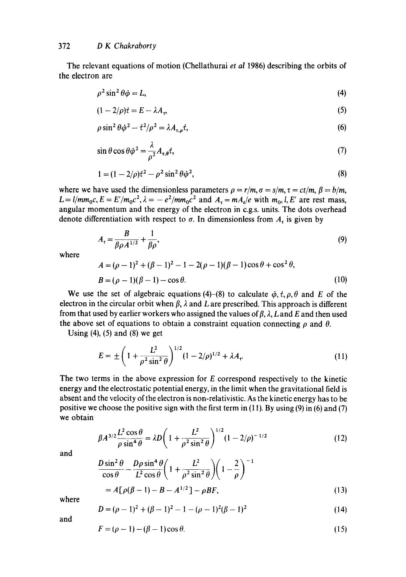The relevant equations of motion (Chellathurai *et al* 1986) describing the orbits of the electron are

$$
\rho^2 \sin^2 \theta \dot{\varphi} = L,\tag{4}
$$

$$
(1 - 2/\rho)\dot{\tau} = E - \lambda A_{\nu},\tag{5}
$$

$$
\rho \sin^2 \theta \dot{\varphi}^2 - \dot{\tau}^2 / \rho^2 = \lambda A_{\tau, \rho} \dot{\tau},\tag{6}
$$

$$
\sin \theta \cos \theta \dot{\varphi}^2 = \frac{\lambda}{\rho^2} A_{\tau,\theta} \dot{\tau},\tag{7}
$$

$$
1 = (1 - 2/\rho)t^2 - \rho^2 \sin^2 \theta \dot{\varphi}^2,
$$
 (8)

where we have used the dimensionless parameters  $\rho = r/m$ ,  $\sigma = s/m$ ,  $\tau = ct/m$ ,  $\beta = b/m$ ,  $L = l/mm_0c$ ,  $E = E'/m_0c^2$ ,  $\lambda = -e^2/mm_0c^2$  and  $A_t = mA_t/e$  with  $m_0, l, E'$  are rest mass, angular momentum and the energy of the electron in c.g.s, units. The dots overhead denote differentiation with respect to  $\sigma$ . In dimensionless from  $A_t$  is given by

$$
A_t = \frac{B}{\beta \rho A^{1/2}} + \frac{1}{\beta \rho},\tag{9}
$$

where

$$
A = (\rho - 1)^2 + (\beta - 1)^2 - 1 - 2(\rho - 1)(\beta - 1)\cos\theta + \cos^2\theta,
$$
  
\n
$$
B = (\rho - 1)(\beta - 1) - \cos\theta.
$$
 (10)

We use the set of algebraic equations (4)-(8) to calculate  $\dot{\varphi}$ ,  $\dot{\tau}$ ,  $\rho$ ,  $\theta$  and E of the electron in the circular orbit when  $\beta$ ,  $\lambda$  and L are prescribed. This approach is different from that used by earlier workers who assigned the values of  $\beta$ ,  $\lambda$ ,  $L$  and  $E$  and then used the above set of equations to obtain a constraint equation connecting  $\rho$  and  $\theta$ .

Using  $(4)$ ,  $(5)$  and  $(8)$  we get

$$
E = \pm \left( 1 + \frac{L^2}{\rho^2 \sin^2 \theta} \right)^{1/2} (1 - 2/\rho)^{1/2} + \lambda A_r.
$$
 (11)

The two terms in the above expression for E correspond respectively to the kinetic energy and the electrostatic potential energy, in the limit when the gravitational field is absent and the velocity of the electron is non-relativistic. As the kinetic energy has to be positive we choose the positive sign with the first term in  $(11)$ . By using  $(9)$  in  $(6)$  and  $(7)$ we obtain

$$
\beta A^{3/2} \frac{L^2 \cos \theta}{\rho \sin^4 \theta} = \lambda D \left( 1 + \frac{L^2}{\rho^2 \sin^2 \theta} \right)^{1/2} (1 - 2/\rho)^{-1/2}
$$
(12)

and

$$
\frac{D\sin^2\theta}{\cos\theta} - \frac{D\rho\sin^4\theta}{L^2\cos\theta} \left(1 + \frac{L^2}{\rho^2\sin^2\theta}\right) \left(1 - \frac{2}{\rho}\right)^{-1}
$$

$$
=A[\rho(\beta-1)-B-A^{1/2}]-\rho BF,
$$
\n(13)

where

$$
D = (\rho - 1)^2 + (\beta - 1)^2 - 1 - (\rho - 1)^2(\beta - 1)^2 \tag{14}
$$

and

$$
F = (\rho - 1) - (\beta - 1)\cos\theta. \tag{15}
$$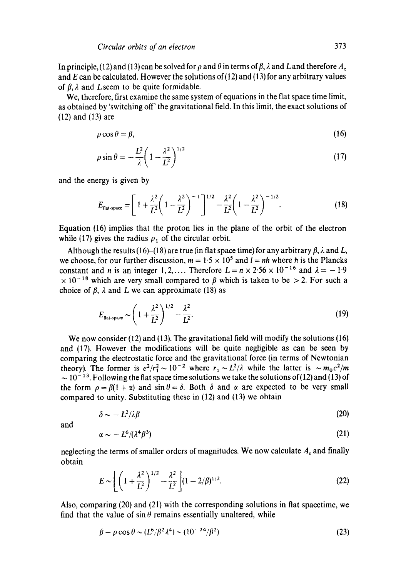In principle, (12) and (13) can be solved for  $\rho$  and  $\theta$  in terms of  $\beta$ ,  $\lambda$  and L and therefore  $A_t$ and E can be calculated. However the solutions of  $(12)$  and  $(13)$  for any arbitrary values of  $\beta$ ,  $\lambda$  and L seem to be quite formidable.

We, therefore, first examine the same system of equations in the flat space time limit, as obtained by 'switching off' the gravitational field. In this limit, the exact solutions of (12) and (13) are

$$
\rho \cos \theta = \beta,\tag{16}
$$

$$
\rho \sin \theta = -\frac{L^2}{\lambda} \left( 1 - \frac{\lambda^2}{L^2} \right)^{1/2} \tag{17}
$$

and the energy is given by

$$
E_{\text{flat-space}} = \left[1 + \frac{\lambda^2}{L^2} \left(1 - \frac{\lambda^2}{L^2}\right)^{-1}\right]^{1/2} - \frac{\lambda^2}{L^2} \left(1 - \frac{\lambda^2}{L^2}\right)^{-1/2}.
$$
 (18)

Equation (16) implies that the proton lies in the plane of the orbit of the electron while (17) gives the radius  $\rho_1$  of the circular orbit.

Although the results (16)–(18) are true (in flat space time) for any arbitrary  $\beta$ ,  $\lambda$  and  $L$ , we choose, for our further discussion,  $m = 1.5 \times 10^5$  and  $l = nh$  where h is the Plancks constant and *n* is an integer 1, 2,.... Therefore  $L = n \times 2.56 \times 10^{-16}$  and  $\lambda = -1.9$  $\times$  10<sup>-18</sup> which are very small compared to  $\beta$  which is taken to be > 2. For such a choice of  $\beta$ ,  $\lambda$  and L we can approximate (18) as

$$
E_{\text{flat-space}} \sim \left(1 + \frac{\lambda^2}{L^2}\right)^{1/2} - \frac{\lambda^2}{L^2}.
$$
 (19)

We now consider (12) and (13). The gravitational field will modify the solutions (16) and (17). However the modifications will be quite negligible as can be seen by comparing the electrostatic force and the gravitational force (in terms of Newtonian theory). The former is  $e^2/r_1^2 \sim 10^{-2}$  where  $r_1 \sim L^2/\lambda$  while the latter is  $\sim m_0 c^2/m$  $\sim 10^{-13}$ . Following the flat space time solutions we take the solutions of (12) and (13) of the form  $\rho = \beta(1 + \alpha)$  and  $\sin \theta = \delta$ . Both  $\delta$  and  $\alpha$  are expected to be very small compared to unity. Substituting these in (12) and (13) we obtain

$$
\delta \sim -L^2/\lambda \beta \tag{20}
$$

and

$$
\alpha \sim -L^6/(\lambda^4 \beta^3) \tag{21}
$$

neglecting the terms of smaller orders of magnitudes. We now calculate  $A_t$  and finally obtain

$$
E \sim \left[ \left( 1 + \frac{\lambda^2}{L^2} \right)^{1/2} - \frac{\lambda^2}{L^2} \right] (1 - 2/\beta)^{1/2}.
$$
 (22)

Also, comparing (20) and (21) with the corresponding solutions in flat spacetime, we find that the value of  $\sin \theta$  remains essentially unaltered, while

$$
\beta - \rho \cos \theta \sim (L^6/\beta^2 \lambda^4) \sim (10^{-24}/\beta^2)
$$
 (23)